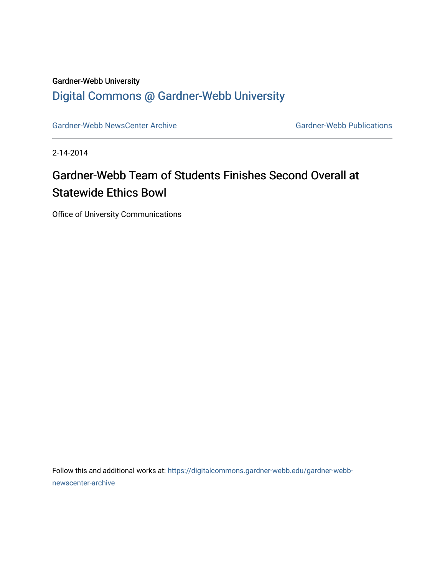## Gardner-Webb University [Digital Commons @ Gardner-Webb University](https://digitalcommons.gardner-webb.edu/)

[Gardner-Webb NewsCenter Archive](https://digitalcommons.gardner-webb.edu/gardner-webb-newscenter-archive) Gardner-Webb Publications

2-14-2014

## Gardner-Webb Team of Students Finishes Second Overall at Statewide Ethics Bowl

Office of University Communications

Follow this and additional works at: [https://digitalcommons.gardner-webb.edu/gardner-webb](https://digitalcommons.gardner-webb.edu/gardner-webb-newscenter-archive?utm_source=digitalcommons.gardner-webb.edu%2Fgardner-webb-newscenter-archive%2F1470&utm_medium=PDF&utm_campaign=PDFCoverPages)[newscenter-archive](https://digitalcommons.gardner-webb.edu/gardner-webb-newscenter-archive?utm_source=digitalcommons.gardner-webb.edu%2Fgardner-webb-newscenter-archive%2F1470&utm_medium=PDF&utm_campaign=PDFCoverPages)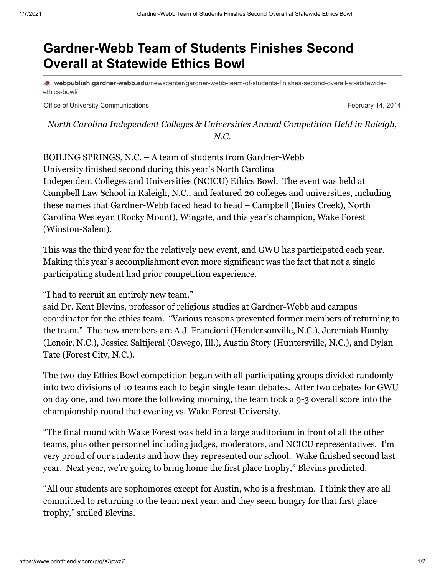## **Gardner-Webb Team of Students Finishes Second Overall at Statewide Ethics Bowl**

**webpublish.gardner-webb.edu**[/newscenter/gardner-webb-team-of-students-finishes-second-overall-at-statewide](https://webpublish.gardner-webb.edu/newscenter/gardner-webb-team-of-students-finishes-second-overall-at-statewide-ethics-bowl/)ethics-bowl/

Office of University Communications **February 14, 2014** Communications **February 14**, 2014

*North Carolina Independent Colleges & Universities Annual Competition Held in Raleigh, N.C.*

BOILING SPRINGS, N.C. – A team of students from Gardner-Webb University finished second during this year's North Carolina Independent Colleges and Universities (NCICU) Ethics Bowl. The event was held at Campbell Law School in Raleigh, N.C., and featured 20 colleges and universities, including these names that Gardner-Webb faced head to head – Campbell (Buies Creek), North Carolina Wesleyan (Rocky Mount), Wingate, and this year's champion, Wake Forest (Winston-Salem).

This was the third year for the relatively new event, and GWU has participated each year. Making this year's accomplishment even more significant was the fact that not a single participating student had prior competition experience.

"I had to recruit an entirely new team,"

said Dr. Kent Blevins, professor of religious studies at Gardner-Webb and campus coordinator for the ethics team. "Various reasons prevented former members of returning to the team." The new members are A.J. Francioni (Hendersonville, N.C.), Jeremiah Hamby (Lenoir, N.C.), Jessica Saltijeral (Oswego, Ill.), Austin Story (Huntersville, N.C.), and Dylan Tate (Forest City, N.C.).

The two-day Ethics Bowl competition began with all participating groups divided randomly into two divisions of 10 teams each to begin single team debates. After two debates for GWU on day one, and two more the following morning, the team took a 9-3 overall score into the championship round that evening vs. Wake Forest University.

"The final round with Wake Forest was held in a large auditorium in front of all the other teams, plus other personnel including judges, moderators, and NCICU representatives. I'm very proud of our students and how they represented our school. Wake finished second last year. Next year, we're going to bring home the first place trophy," Blevins predicted.

"All our students are sophomores except for Austin, who is a freshman. I think they are all committed to returning to the team next year, and they seem hungry for that first place trophy," smiled Blevins.